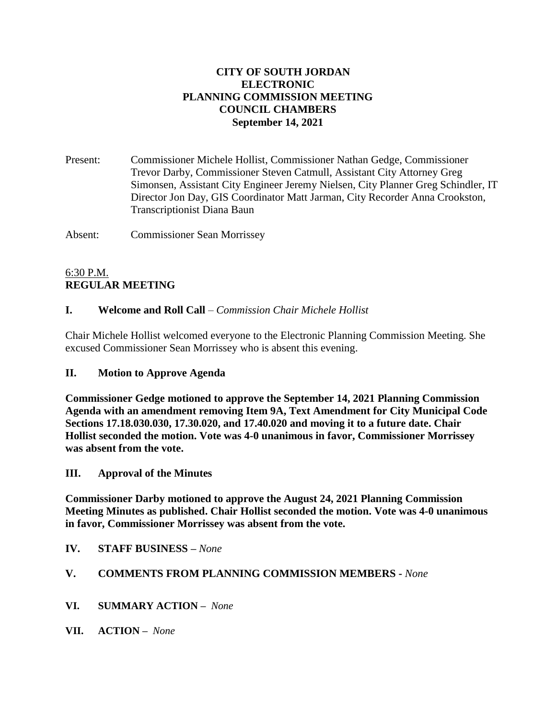### **CITY OF SOUTH JORDAN ELECTRONIC PLANNING COMMISSION MEETING COUNCIL CHAMBERS September 14, 2021**

Present: Commissioner Michele Hollist, Commissioner Nathan Gedge, Commissioner Trevor Darby, Commissioner Steven Catmull, Assistant City Attorney Greg Simonsen, Assistant City Engineer Jeremy Nielsen, City Planner Greg Schindler, IT Director Jon Day, GIS Coordinator Matt Jarman, City Recorder Anna Crookston, Transcriptionist Diana Baun

Absent: Commissioner Sean Morrissey

### 6:30 P.M. **REGULAR MEETING**

### **I. Welcome and Roll Call** – *Commission Chair Michele Hollist*

Chair Michele Hollist welcomed everyone to the Electronic Planning Commission Meeting. She excused Commissioner Sean Morrissey who is absent this evening.

### **II. Motion to Approve Agenda**

**Commissioner Gedge motioned to approve the September 14, 2021 Planning Commission Agenda with an amendment removing Item 9A, Text Amendment for City Municipal Code Sections 17.18.030.030, 17.30.020, and 17.40.020 and moving it to a future date. Chair Hollist seconded the motion. Vote was 4-0 unanimous in favor, Commissioner Morrissey was absent from the vote.**

#### **III. Approval of the Minutes**

**Commissioner Darby motioned to approve the August 24, 2021 Planning Commission Meeting Minutes as published. Chair Hollist seconded the motion. Vote was 4-0 unanimous in favor, Commissioner Morrissey was absent from the vote.**

#### **IV. STAFF BUSINESS –** *None*

### **V. COMMENTS FROM PLANNING COMMISSION MEMBERS -** *None*

- **VI. SUMMARY ACTION –** *None*
- **VII. ACTION –** *None*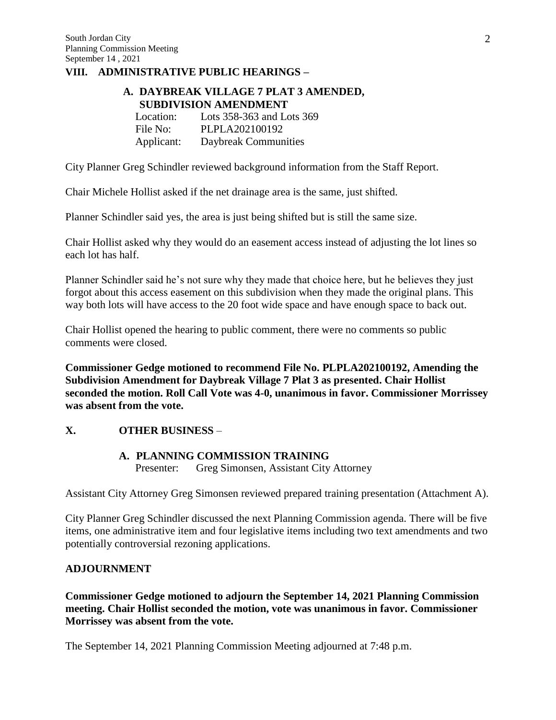#### **VIII. ADMINISTRATIVE PUBLIC HEARINGS –**

#### **A. DAYBREAK VILLAGE 7 PLAT 3 AMENDED, SUBDIVISION AMENDMENT**

Location: Lots 358-363 and Lots 369 File No: PLPLA202100192 Applicant: Daybreak Communities

City Planner Greg Schindler reviewed background information from the Staff Report.

Chair Michele Hollist asked if the net drainage area is the same, just shifted.

Planner Schindler said yes, the area is just being shifted but is still the same size.

Chair Hollist asked why they would do an easement access instead of adjusting the lot lines so each lot has half.

Planner Schindler said he's not sure why they made that choice here, but he believes they just forgot about this access easement on this subdivision when they made the original plans. This way both lots will have access to the 20 foot wide space and have enough space to back out.

Chair Hollist opened the hearing to public comment, there were no comments so public comments were closed.

**Commissioner Gedge motioned to recommend File No. PLPLA202100192, Amending the Subdivision Amendment for Daybreak Village 7 Plat 3 as presented. Chair Hollist seconded the motion. Roll Call Vote was 4-0, unanimous in favor. Commissioner Morrissey was absent from the vote.**

#### **X. OTHER BUSINESS** –

#### **A. PLANNING COMMISSION TRAINING**

Presenter: Greg Simonsen, Assistant City Attorney

Assistant City Attorney Greg Simonsen reviewed prepared training presentation (Attachment A).

City Planner Greg Schindler discussed the next Planning Commission agenda. There will be five items, one administrative item and four legislative items including two text amendments and two potentially controversial rezoning applications.

#### **ADJOURNMENT**

**Commissioner Gedge motioned to adjourn the September 14, 2021 Planning Commission meeting. Chair Hollist seconded the motion, vote was unanimous in favor. Commissioner Morrissey was absent from the vote.**

The September 14, 2021 Planning Commission Meeting adjourned at 7:48 p.m.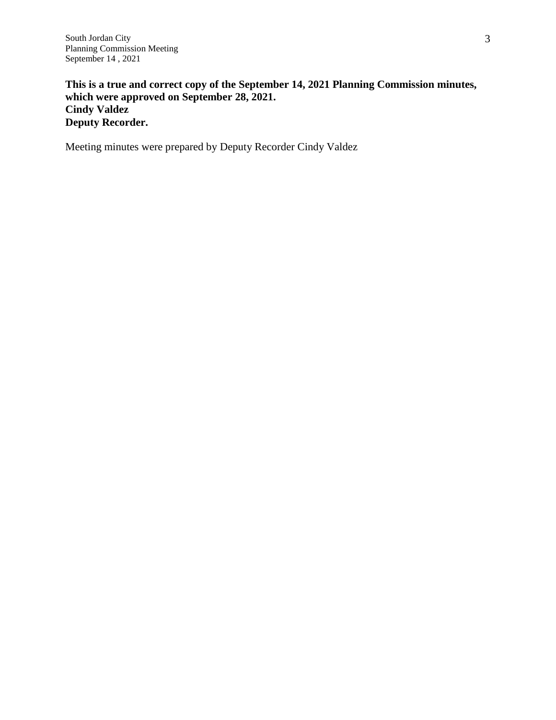**This is a true and correct copy of the September 14, 2021 Planning Commission minutes, which were approved on September 28, 2021. Cindy Valdez Deputy Recorder.**

Meeting minutes were prepared by Deputy Recorder Cindy Valdez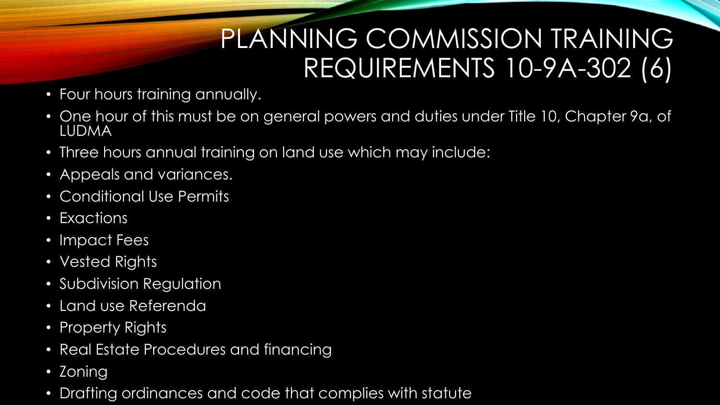### PLANNING COMMISSION TRAINING REQUIREMENTS 10-9A-302 (6)

- Four hours training annually.
- One hour of this must be on general powers and duties under Title 10, Chapter 9a, of LUDMA
- Three hours annual training on land use which may include:
- Appeals and variances.
- Conditional Use Permits
- Exactions
- Impact Fees
- Vested Rights
- Subdivision Regulation
- Land use Referenda
- Property Rights
- Real Estate Procedures and financing
- Zoning
- Drafting ordinances and code that complies with statute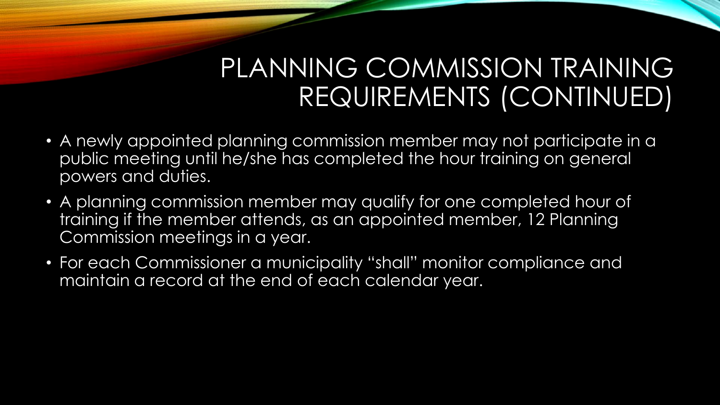### PLANNING COMMISSION TRAINING REQUIREMENTS (CONTINUED)

- A newly appointed planning commission member may not participate in a public meeting until he/she has completed the hour training on general powers and duties.
- A planning commission member may qualify for one completed hour of training if the member attends, as an appointed member, 12 Planning Commission meetings in a year.
- For each Commissioner a municipality "shall" monitor compliance and maintain a record at the end of each calendar year.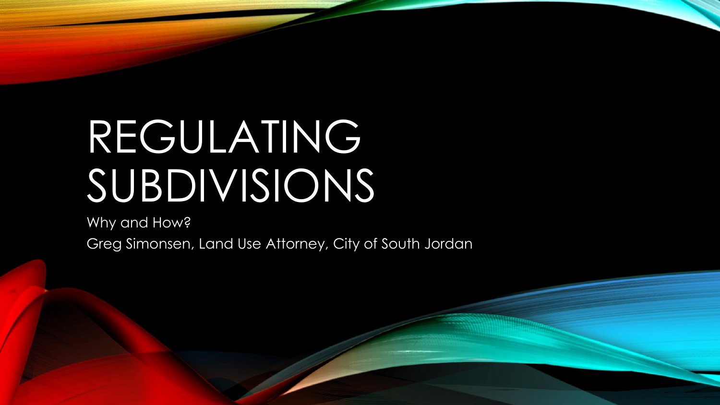# REGULATING SUBDIVISIONS

Why and How?

Greg Simonsen, Land Use Attorney, City of South Jordan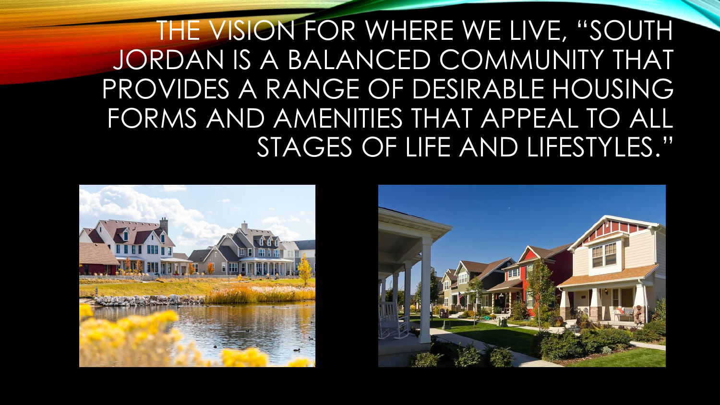THE VISION FOR WHERE WE LIVE, "SOUTH JORDAN IS A BALANCED COMMUNITY THAT PROVIDES A RANGE OF DESIRABLE HOUSING FORMS AND AMENITIES THAT APPEAL TO ALL STAGES OF LIFE AND LIFESTYLES."



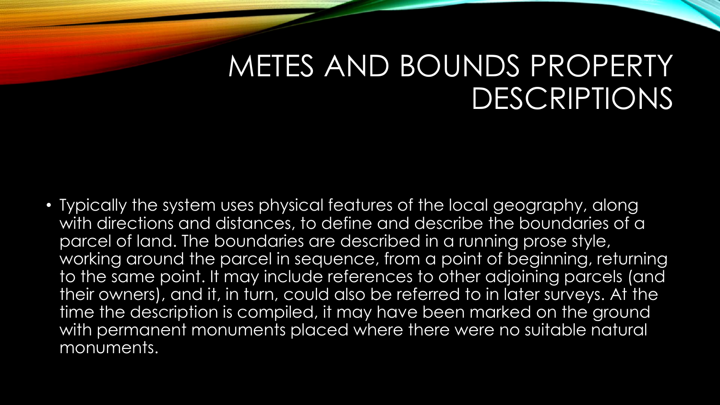### METES AND BOUNDS PROPERTY DESCRIPTIONS

• Typically the system uses physical features of the local geography, along with directions and distances, to define and describe the boundaries of a parcel of land. The boundaries are described in a running prose style, working around the parcel in sequence, from a point of beginning, returning to the same point. It may include references to other adjoining parcels (and their owners), and it, in turn, could also be referred to in later surveys. At the time the description is compiled, it may have been marked on the ground with permanent monuments placed where there were no suitable natural monuments.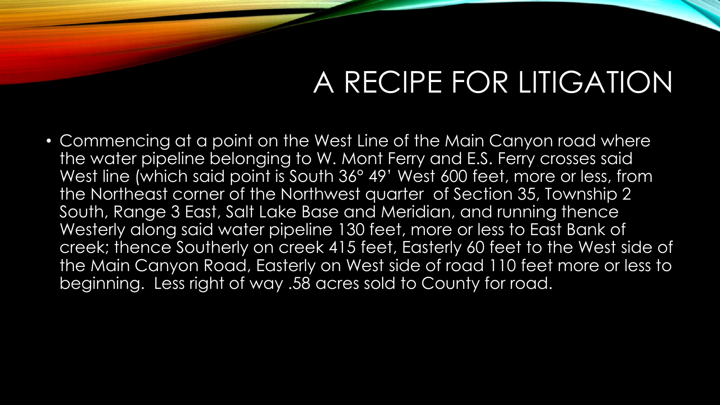# A RECIPE FOR LITIGATION

• Commencing at a point on the West Line of the Main Canyon road where the water pipeline belonging to W. Mont Ferry and E.S. Ferry crosses said West line (which said point is South 36° 49' West 600 feet, more or less, from the Northeast corner of the Northwest quarter of Section 35, Township 2 South, Range 3 East, Salt Lake Base and Meridian, and running thence Westerly along said water pipeline 130 feet, more or less to East Bank of creek; thence Southerly on creek 415 feet, Easterly 60 feet to the West side of the Main Canyon Road, Easterly on West side of road 110 feet more or less to beginning. Less right of way .58 acres sold to County for road.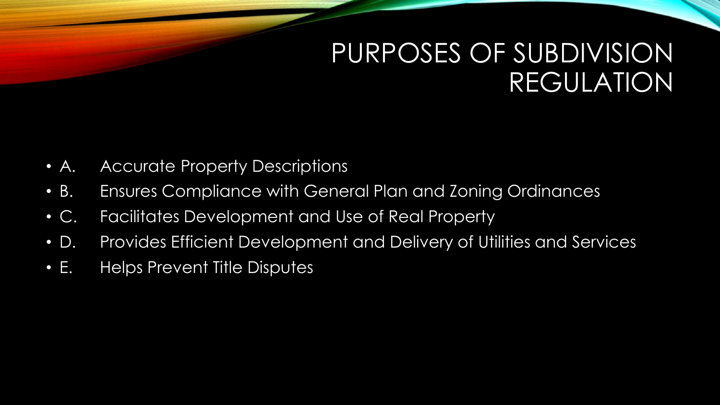### PURPOSES OF SUBDIVISION REGULATION

- A. Accurate Property Descriptions
- B. Ensures Compliance with General Plan and Zoning Ordinances
- C. Facilitates Development and Use of Real Property
- D. Provides Efficient Development and Delivery of Utilities and Services
- E. Helps Prevent Title Disputes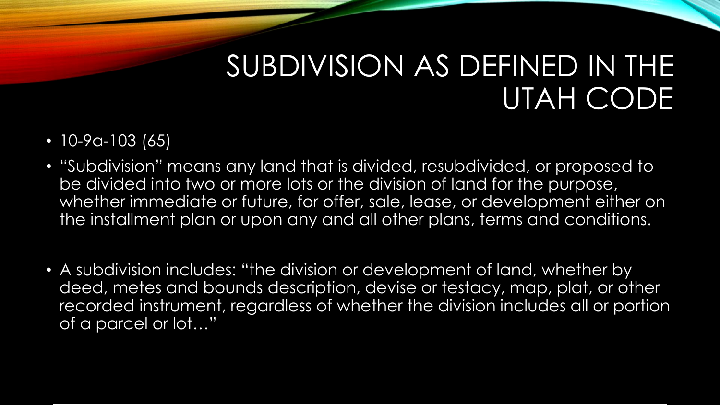# SUBDIVISION AS DEFINED IN THE UTAH CODE

- 10-9a-103 (65)
- "Subdivision" means any land that is divided, resubdivided, or proposed to be divided into two or more lots or the division of land for the purpose, whether immediate or future, for offer, sale, lease, or development either on the installment plan or upon any and all other plans, terms and conditions.
- A subdivision includes: "the division or development of land, whether by deed, metes and bounds description, devise or testacy, map, plat, or other recorded instrument, regardless of whether the division includes all or portion of a parcel or lot…"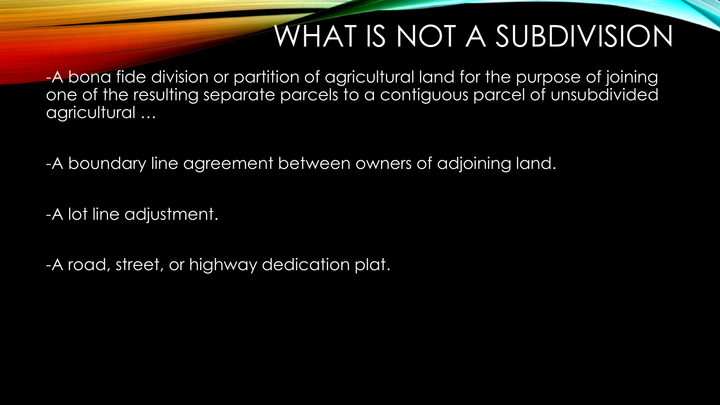# WHAT IS NOT A SUBDIVISION

-A bona fide division or partition of agricultural land for the purpose of joining one of the resulting separate parcels to a contiguous parcel of unsubdivided agricultural …

-A boundary line agreement between owners of adjoining land.

-A lot line adjustment.

-A road, street, or highway dedication plat.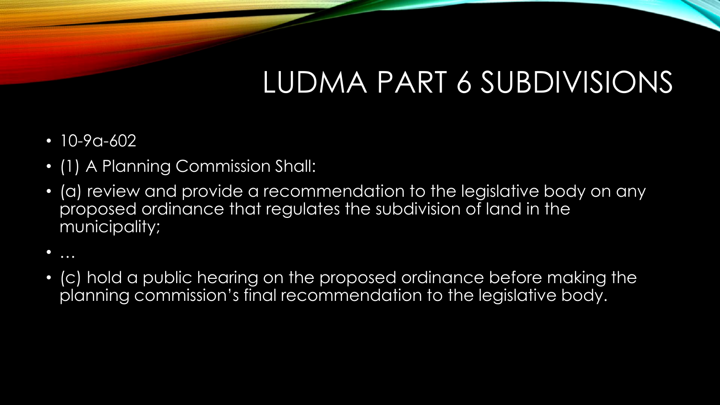# LUDMA PART 6 SUBDIVISIONS

- 10-9a-602
- (1) A Planning Commission Shall:
- (a) review and provide a recommendation to the legislative body on any proposed ordinance that regulates the subdivision of land in the municipality;
- …
- (c) hold a public hearing on the proposed ordinance before making the planning commission's final recommendation to the legislative body.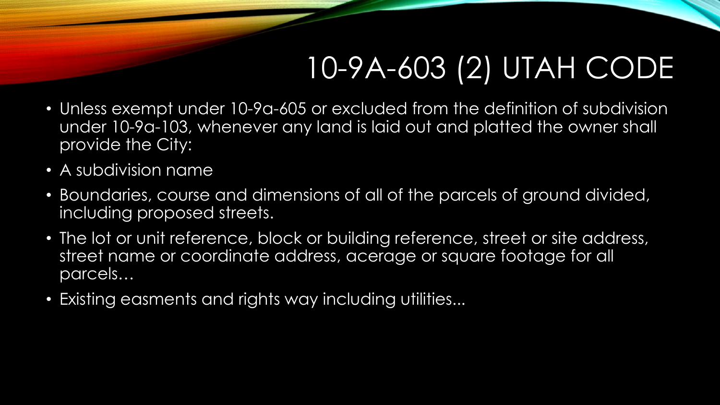# 10-9A-603 (2) UTAH CODE

- Unless exempt under 10-9a-605 or excluded from the definition of subdivision under 10-9a-103, whenever any land is laid out and platted the owner shall provide the City:
- A subdivision name
- Boundaries, course and dimensions of all of the parcels of ground divided, including proposed streets.
- The lot or unit reference, block or building reference, street or site address, street name or coordinate address, acerage or square footage for all parcels…
- Existing easments and rights way including utilities...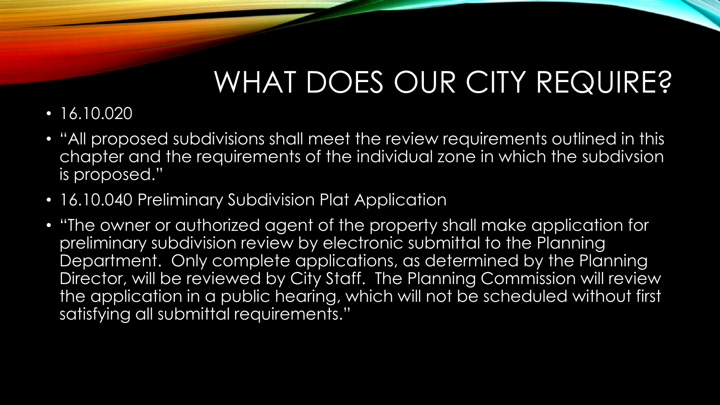# WHAT DOES OUR CITY REQUIRE?

- $\cdot$  16.10.020
- "All proposed subdivisions shall meet the review requirements outlined in this chapter and the requirements of the individual zone in which the subdivsion is proposed."
- 16.10.040 Preliminary Subdivision Plat Application
- "The owner or authorized agent of the property shall make application for preliminary subdivision review by electronic submittal to the Planning Department. Only complete applications, as determined by the Planning Director, will be reviewed by City Staff. The Planning Commission will review the application in a public hearing, which will not be scheduled without first satisfying all submittal requirements."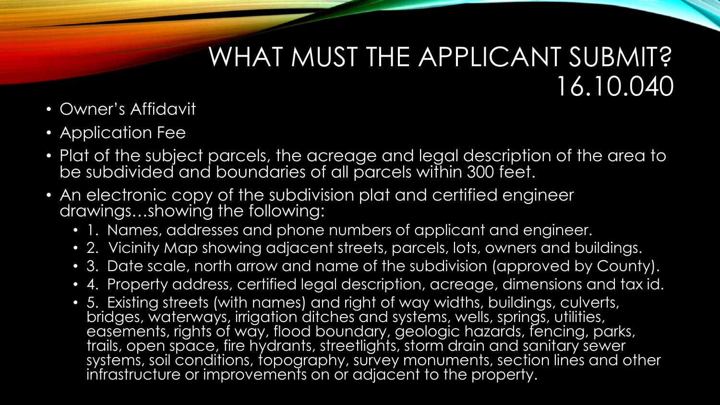### WHAT MUST THE APPLICANT SUBMIT? 16.10.040

- Owner's Affidavit
- Application Fee
- Plat of the subject parcels, the acreage and legal description of the area to be subdivided and boundaries of all parcels within 300 feet.
- An electronic copy of the subdivision plat and certified engineer drawings…showing the following:
	- 1. Names, addresses and phone numbers of applicant and engineer.
	- 2. Vicinity Map showing adjacent streets, parcels, lots, owners and buildings.
	- 3. Date scale, north arrow and name of the subdivision (approved by County).
	- 4. Property address, certified legal description, acreage, dimensions and tax id.
	- 5. Existing streets (with names) and right of way widths, buildings, culverts, bridges, waterways, irrigation ditches and systems, wells, springs, utilities, easements, rights of way, flood boundary, geologic hazards, fencing, parks, trails, open space, fire hydrants, streetlights, storm drain and sanitary sewer systems, soil conditions, topography, survey monuments, section lines and other infrastructure or improvements on or adjacent to the property.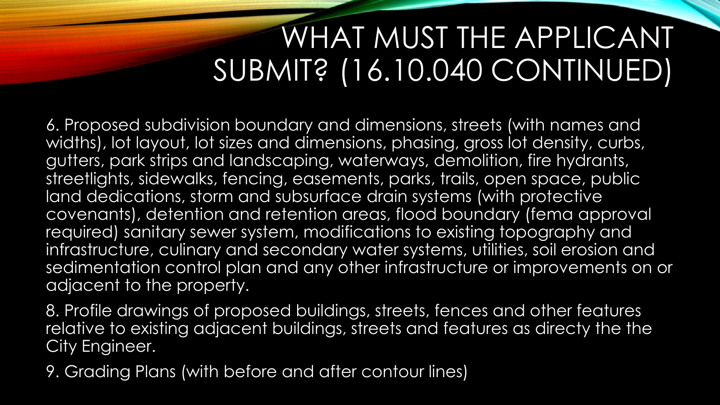# WHAT MUST THE APPLICANT SUBMIT? (16.10.040 CONTINUED)

6. Proposed subdivision boundary and dimensions, streets (with names and widths), lot layout, lot sizes and dimensions, phasing, gross lot density, curbs, gutters, park strips and landscaping, waterways, demolition, fire hydrants, streetlights, sidewalks, fencing, easements, parks, trails, open space, public land dedications, storm and subsurface drain systems (with protective covenants), detention and retention areas, flood boundary (fema approval required) sanitary sewer system, modifications to existing topography and infrastructure, culinary and secondary water systems, utilities, soil erosion and sedimentation control plan and any other infrastructure or improvements on or adjacent to the property.

8. Profile drawings of proposed buildings, streets, fences and other features relative to existing adjacent buildings, streets and features as directy the the City Engineer.

9. Grading Plans (with before and after contour lines)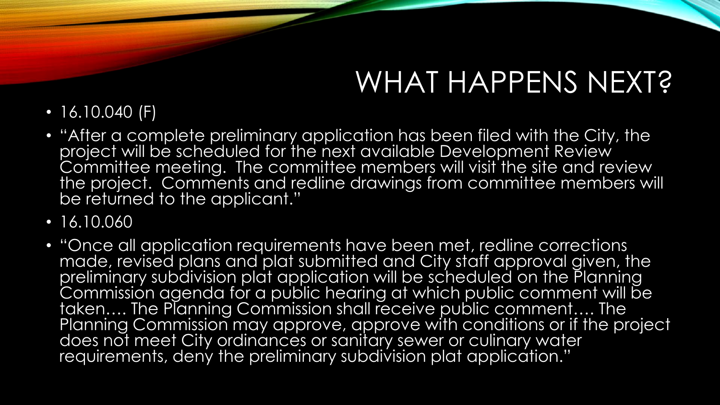# WHAT HAPPENS NEXT?

- 16.10.040 (F)
- "After a complete preliminary application has been filed with the City, the project will be scheduled for the next available Development Review Committee meeting. The committee members will visit the site and review the project. Comments and redline drawings from committee members will be returned to the applicant."
- 16.10.060
- "Once all application requirements have been met, redline corrections made, revised plans and plat submitted and City staff approval given, the preliminary subdivision plat application will be scheduled on the Planning Commission agenda for a public hearing at which public comment will be taken…. The Planning Commission shall receive public comment…. The Planning Commission may approve, approve with conditions or if the project does not meet City ordinances or sanitary sewer or culinary water requirements, deny the preliminary subdivision plat application."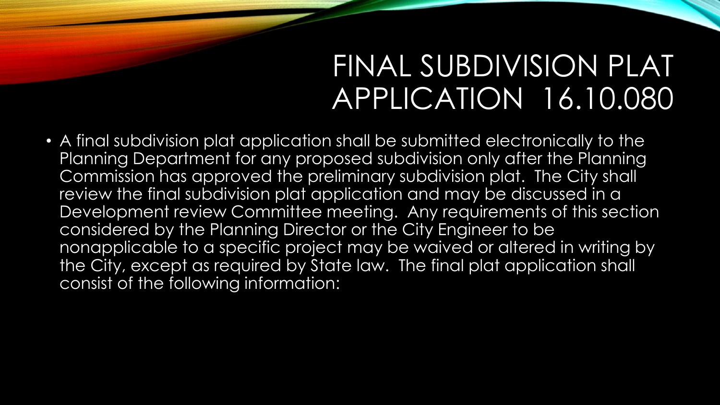### FINAL SUBDIVISION PLAT APPLICATION 16.10.080

• A final subdivision plat application shall be submitted electronically to the Planning Department for any proposed subdivision only after the Planning Commission has approved the preliminary subdivision plat. The City shall review the final subdivision plat application and may be discussed in a Development review Committee meeting. Any requirements of this section considered by the Planning Director or the City Engineer to be nonapplicable to a specific project may be waived or altered in writing by the City, except as required by State law. The final plat application shall consist of the following information: